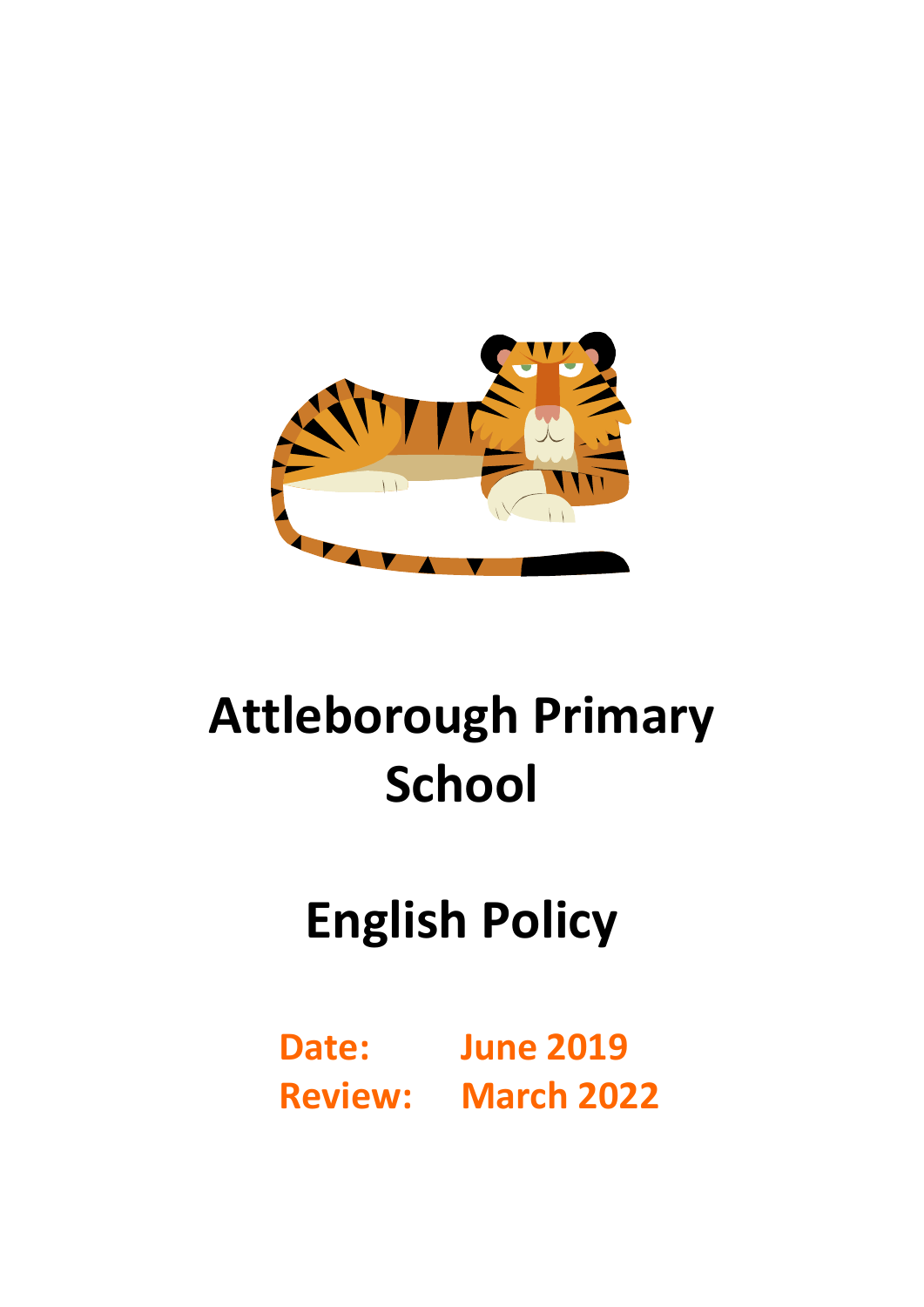

# **Attleborough Primary School**

# **English Policy**

**Date: June 2019 Review: March 2022**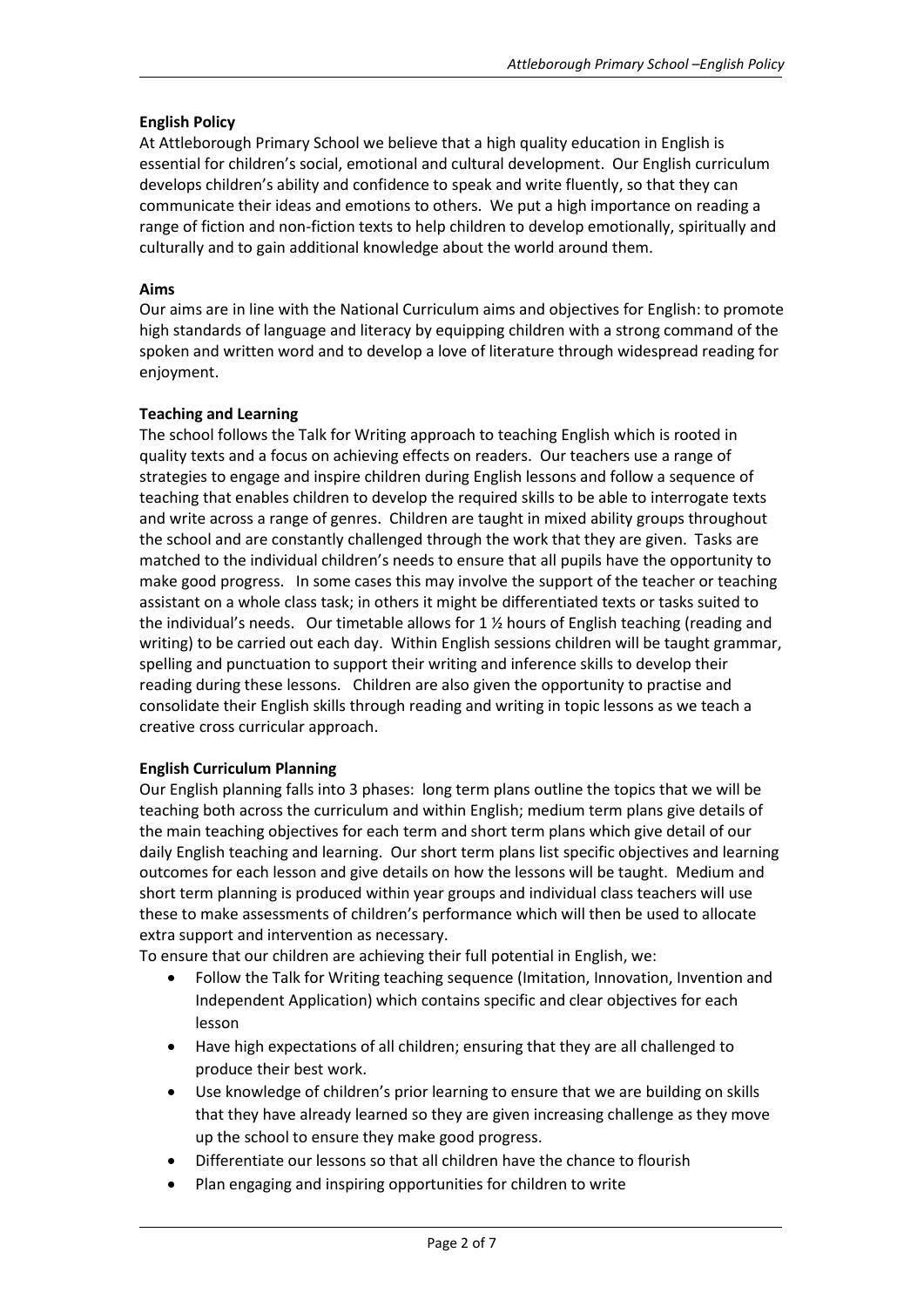#### **English Policy**

At Attleborough Primary School we believe that a high quality education in English is essential for children's social, emotional and cultural development. Our English curriculum develops children's ability and confidence to speak and write fluently, so that they can communicate their ideas and emotions to others. We put a high importance on reading a range of fiction and non-fiction texts to help children to develop emotionally, spiritually and culturally and to gain additional knowledge about the world around them.

#### **Aims**

Our aims are in line with the National Curriculum aims and objectives for English: to promote high standards of language and literacy by equipping children with a strong command of the spoken and written word and to develop a love of literature through widespread reading for enjoyment.

#### **Teaching and Learning**

The school follows the Talk for Writing approach to teaching English which is rooted in quality texts and a focus on achieving effects on readers. Our teachers use a range of strategies to engage and inspire children during English lessons and follow a sequence of teaching that enables children to develop the required skills to be able to interrogate texts and write across a range of genres. Children are taught in mixed ability groups throughout the school and are constantly challenged through the work that they are given. Tasks are matched to the individual children's needs to ensure that all pupils have the opportunity to make good progress. In some cases this may involve the support of the teacher or teaching assistant on a whole class task; in others it might be differentiated texts or tasks suited to the individual's needs. Our timetable allows for  $1\frac{1}{2}$  hours of English teaching (reading and writing) to be carried out each day. Within English sessions children will be taught grammar, spelling and punctuation to support their writing and inference skills to develop their reading during these lessons. Children are also given the opportunity to practise and consolidate their English skills through reading and writing in topic lessons as we teach a creative cross curricular approach.

#### **English Curriculum Planning**

Our English planning falls into 3 phases: long term plans outline the topics that we will be teaching both across the curriculum and within English; medium term plans give details of the main teaching objectives for each term and short term plans which give detail of our daily English teaching and learning. Our short term plans list specific objectives and learning outcomes for each lesson and give details on how the lessons will be taught. Medium and short term planning is produced within year groups and individual class teachers will use these to make assessments of children's performance which will then be used to allocate extra support and intervention as necessary.

To ensure that our children are achieving their full potential in English, we:

- Follow the Talk for Writing teaching sequence (Imitation, Innovation, Invention and Independent Application) which contains specific and clear objectives for each lesson
- Have high expectations of all children; ensuring that they are all challenged to produce their best work.
- Use knowledge of children's prior learning to ensure that we are building on skills that they have already learned so they are given increasing challenge as they move up the school to ensure they make good progress.
- Differentiate our lessons so that all children have the chance to flourish
- Plan engaging and inspiring opportunities for children to write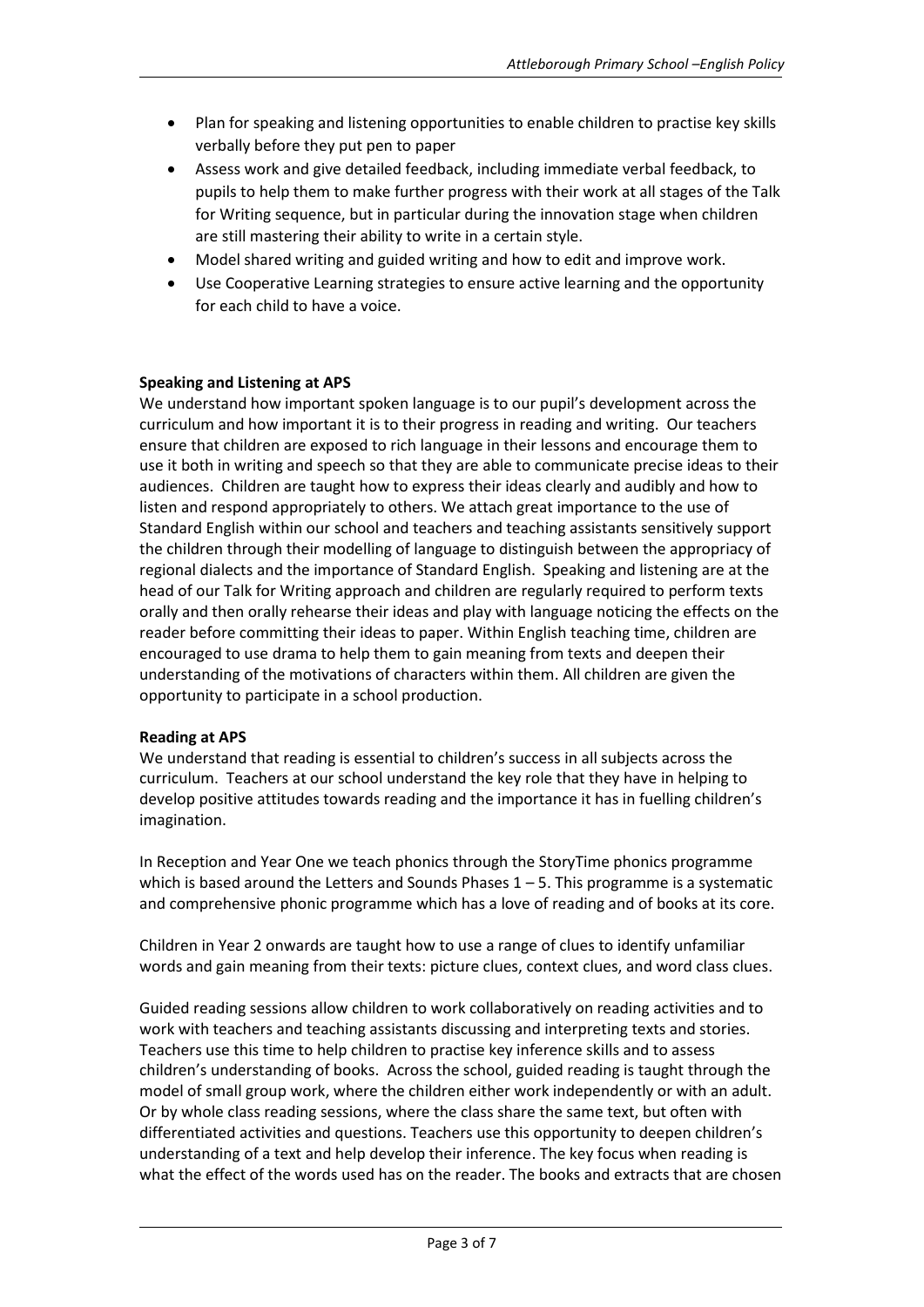- Plan for speaking and listening opportunities to enable children to practise key skills verbally before they put pen to paper
- Assess work and give detailed feedback, including immediate verbal feedback, to pupils to help them to make further progress with their work at all stages of the Talk for Writing sequence, but in particular during the innovation stage when children are still mastering their ability to write in a certain style.
- Model shared writing and guided writing and how to edit and improve work.
- Use Cooperative Learning strategies to ensure active learning and the opportunity for each child to have a voice.

# **Speaking and Listening at APS**

We understand how important spoken language is to our pupil's development across the curriculum and how important it is to their progress in reading and writing. Our teachers ensure that children are exposed to rich language in their lessons and encourage them to use it both in writing and speech so that they are able to communicate precise ideas to their audiences. Children are taught how to express their ideas clearly and audibly and how to listen and respond appropriately to others. We attach great importance to the use of Standard English within our school and teachers and teaching assistants sensitively support the children through their modelling of language to distinguish between the appropriacy of regional dialects and the importance of Standard English. Speaking and listening are at the head of our Talk for Writing approach and children are regularly required to perform texts orally and then orally rehearse their ideas and play with language noticing the effects on the reader before committing their ideas to paper. Within English teaching time, children are encouraged to use drama to help them to gain meaning from texts and deepen their understanding of the motivations of characters within them. All children are given the opportunity to participate in a school production.

#### **Reading at APS**

We understand that reading is essential to children's success in all subjects across the curriculum. Teachers at our school understand the key role that they have in helping to develop positive attitudes towards reading and the importance it has in fuelling children's imagination.

In Reception and Year One we teach phonics through the StoryTime phonics programme which is based around the Letters and Sounds Phases  $1 - 5$ . This programme is a systematic and comprehensive phonic programme which has a love of reading and of books at its core.

Children in Year 2 onwards are taught how to use a range of clues to identify unfamiliar words and gain meaning from their texts: picture clues, context clues, and word class clues.

Guided reading sessions allow children to work collaboratively on reading activities and to work with teachers and teaching assistants discussing and interpreting texts and stories. Teachers use this time to help children to practise key inference skills and to assess children's understanding of books. Across the school, guided reading is taught through the model of small group work, where the children either work independently or with an adult. Or by whole class reading sessions, where the class share the same text, but often with differentiated activities and questions. Teachers use this opportunity to deepen children's understanding of a text and help develop their inference. The key focus when reading is what the effect of the words used has on the reader. The books and extracts that are chosen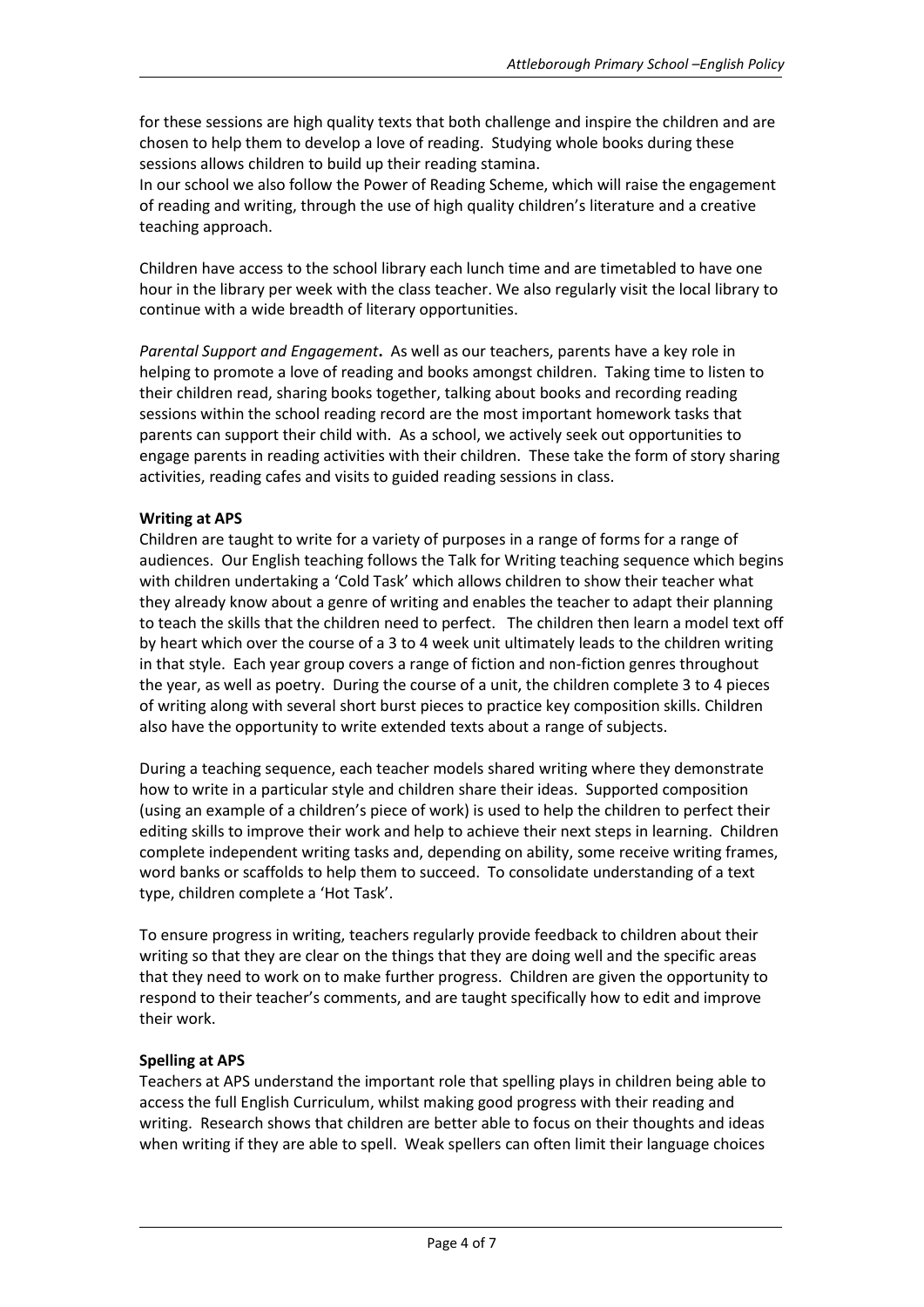for these sessions are high quality texts that both challenge and inspire the children and are chosen to help them to develop a love of reading. Studying whole books during these sessions allows children to build up their reading stamina.

In our school we also follow the Power of Reading Scheme, which will raise the engagement of reading and writing, through the use of high quality children's literature and a creative teaching approach.

Children have access to the school library each lunch time and are timetabled to have one hour in the library per week with the class teacher. We also regularly visit the local library to continue with a wide breadth of literary opportunities.

*Parental Support and Engagement***.** As well as our teachers, parents have a key role in helping to promote a love of reading and books amongst children. Taking time to listen to their children read, sharing books together, talking about books and recording reading sessions within the school reading record are the most important homework tasks that parents can support their child with. As a school, we actively seek out opportunities to engage parents in reading activities with their children. These take the form of story sharing activities, reading cafes and visits to guided reading sessions in class.

# **Writing at APS**

Children are taught to write for a variety of purposes in a range of forms for a range of audiences. Our English teaching follows the Talk for Writing teaching sequence which begins with children undertaking a 'Cold Task' which allows children to show their teacher what they already know about a genre of writing and enables the teacher to adapt their planning to teach the skills that the children need to perfect. The children then learn a model text off by heart which over the course of a 3 to 4 week unit ultimately leads to the children writing in that style. Each year group covers a range of fiction and non-fiction genres throughout the year, as well as poetry. During the course of a unit, the children complete 3 to 4 pieces of writing along with several short burst pieces to practice key composition skills. Children also have the opportunity to write extended texts about a range of subjects.

During a teaching sequence, each teacher models shared writing where they demonstrate how to write in a particular style and children share their ideas. Supported composition (using an example of a children's piece of work) is used to help the children to perfect their editing skills to improve their work and help to achieve their next steps in learning. Children complete independent writing tasks and, depending on ability, some receive writing frames, word banks or scaffolds to help them to succeed. To consolidate understanding of a text type, children complete a 'Hot Task'.

To ensure progress in writing, teachers regularly provide feedback to children about their writing so that they are clear on the things that they are doing well and the specific areas that they need to work on to make further progress. Children are given the opportunity to respond to their teacher's comments, and are taught specifically how to edit and improve their work.

#### **Spelling at APS**

Teachers at APS understand the important role that spelling plays in children being able to access the full English Curriculum, whilst making good progress with their reading and writing. Research shows that children are better able to focus on their thoughts and ideas when writing if they are able to spell. Weak spellers can often limit their language choices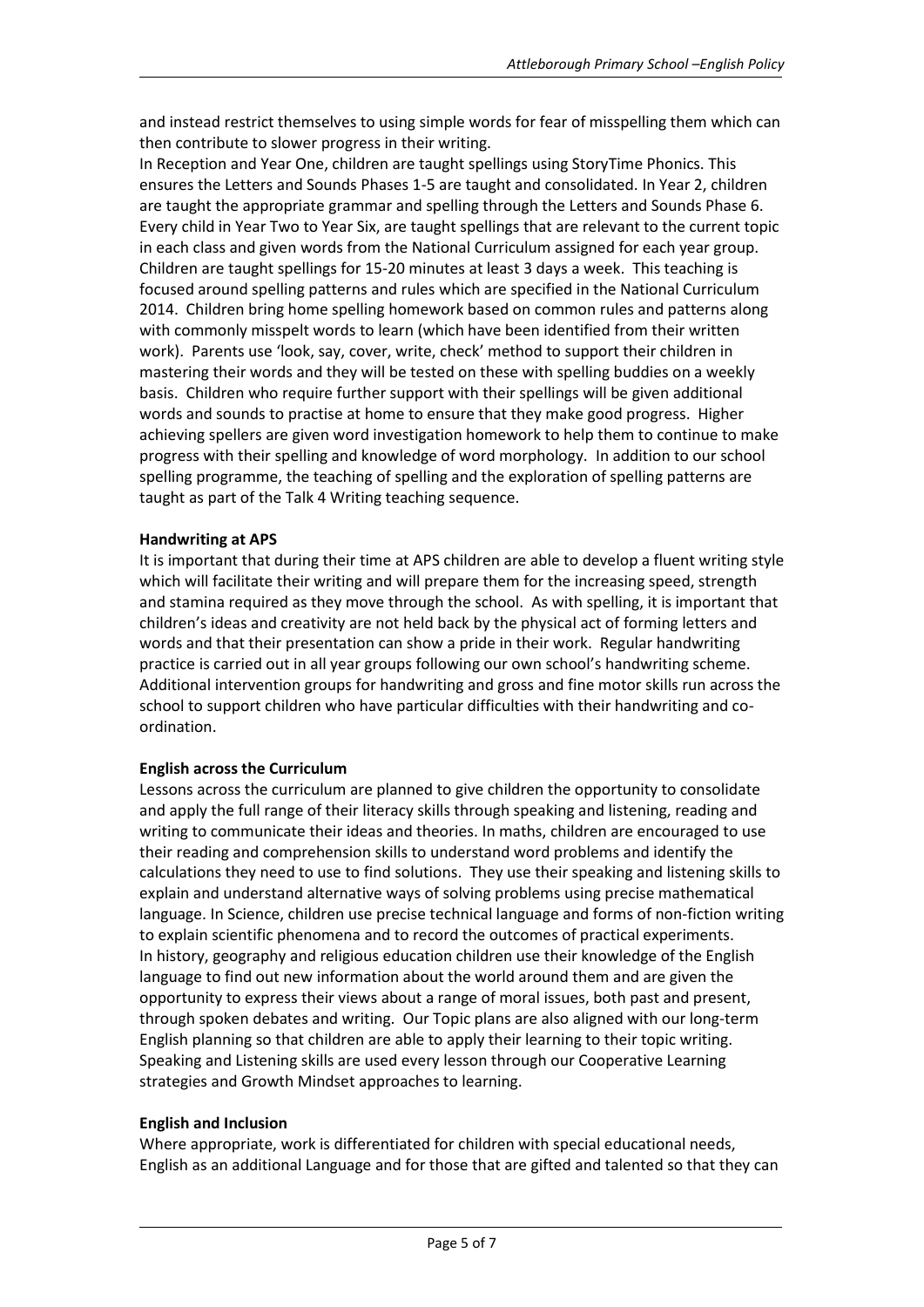and instead restrict themselves to using simple words for fear of misspelling them which can then contribute to slower progress in their writing.

In Reception and Year One, children are taught spellings using StoryTime Phonics. This ensures the Letters and Sounds Phases 1-5 are taught and consolidated. In Year 2, children are taught the appropriate grammar and spelling through the Letters and Sounds Phase 6. Every child in Year Two to Year Six, are taught spellings that are relevant to the current topic in each class and given words from the National Curriculum assigned for each year group. Children are taught spellings for 15-20 minutes at least 3 days a week. This teaching is focused around spelling patterns and rules which are specified in the National Curriculum 2014. Children bring home spelling homework based on common rules and patterns along with commonly misspelt words to learn (which have been identified from their written work). Parents use 'look, say, cover, write, check' method to support their children in mastering their words and they will be tested on these with spelling buddies on a weekly basis. Children who require further support with their spellings will be given additional words and sounds to practise at home to ensure that they make good progress. Higher achieving spellers are given word investigation homework to help them to continue to make progress with their spelling and knowledge of word morphology. In addition to our school spelling programme, the teaching of spelling and the exploration of spelling patterns are taught as part of the Talk 4 Writing teaching sequence.

# **Handwriting at APS**

It is important that during their time at APS children are able to develop a fluent writing style which will facilitate their writing and will prepare them for the increasing speed, strength and stamina required as they move through the school. As with spelling, it is important that children's ideas and creativity are not held back by the physical act of forming letters and words and that their presentation can show a pride in their work. Regular handwriting practice is carried out in all year groups following our own school's handwriting scheme. Additional intervention groups for handwriting and gross and fine motor skills run across the school to support children who have particular difficulties with their handwriting and coordination.

#### **English across the Curriculum**

Lessons across the curriculum are planned to give children the opportunity to consolidate and apply the full range of their literacy skills through speaking and listening, reading and writing to communicate their ideas and theories. In maths, children are encouraged to use their reading and comprehension skills to understand word problems and identify the calculations they need to use to find solutions. They use their speaking and listening skills to explain and understand alternative ways of solving problems using precise mathematical language. In Science, children use precise technical language and forms of non-fiction writing to explain scientific phenomena and to record the outcomes of practical experiments. In history, geography and religious education children use their knowledge of the English language to find out new information about the world around them and are given the opportunity to express their views about a range of moral issues, both past and present, through spoken debates and writing. Our Topic plans are also aligned with our long-term English planning so that children are able to apply their learning to their topic writing. Speaking and Listening skills are used every lesson through our Cooperative Learning strategies and Growth Mindset approaches to learning.

#### **English and Inclusion**

Where appropriate, work is differentiated for children with special educational needs, English as an additional Language and for those that are gifted and talented so that they can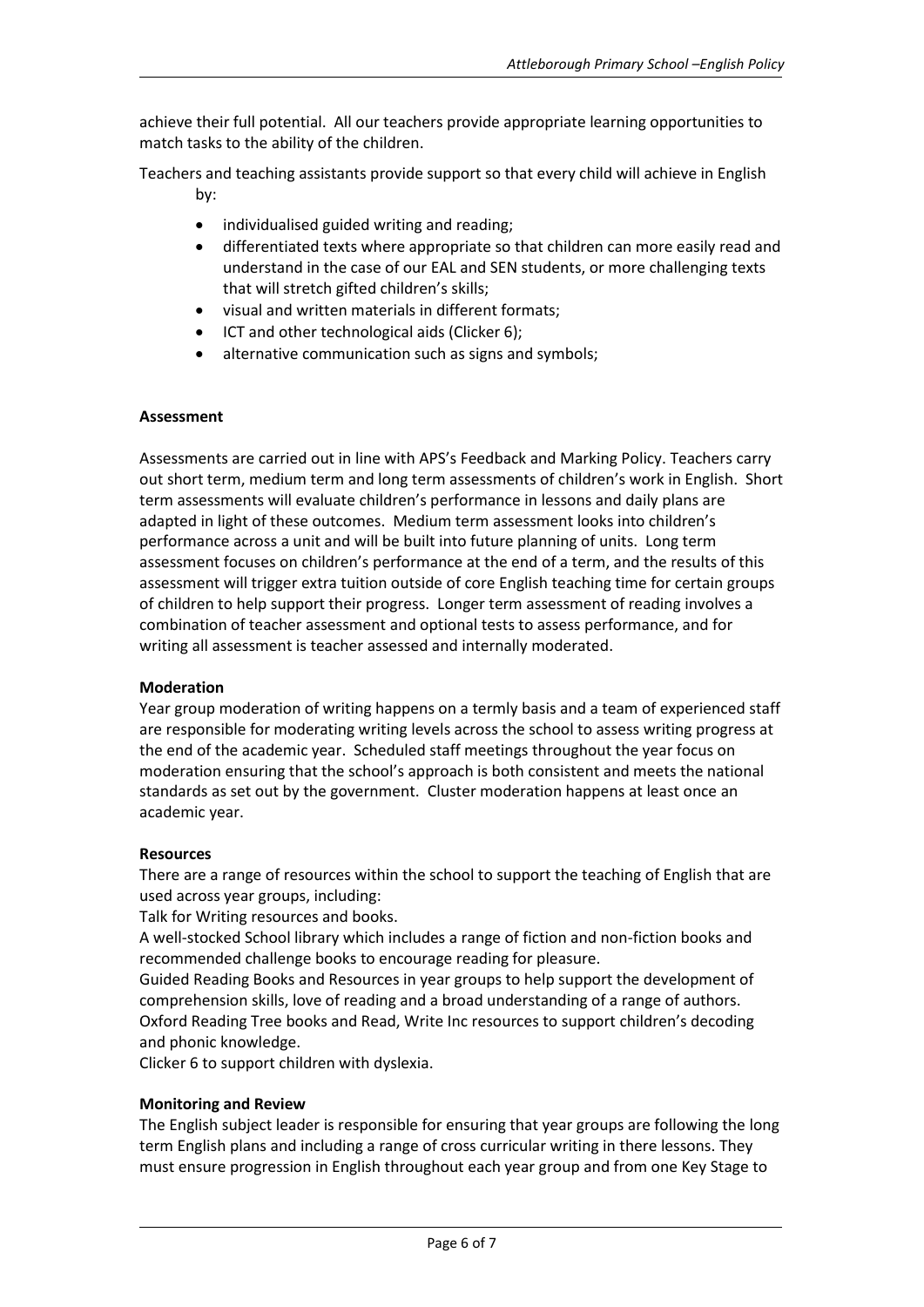achieve their full potential. All our teachers provide appropriate learning opportunities to match tasks to the ability of the children.

Teachers and teaching assistants provide support so that every child will achieve in English by:

- individualised guided writing and reading;
- differentiated texts where appropriate so that children can more easily read and understand in the case of our EAL and SEN students, or more challenging texts that will stretch gifted children's skills;
- visual and written materials in different formats;
- ICT and other technological aids (Clicker 6);
- alternative communication such as signs and symbols;

#### **Assessment**

Assessments are carried out in line with APS's Feedback and Marking Policy. Teachers carry out short term, medium term and long term assessments of children's work in English. Short term assessments will evaluate children's performance in lessons and daily plans are adapted in light of these outcomes. Medium term assessment looks into children's performance across a unit and will be built into future planning of units. Long term assessment focuses on children's performance at the end of a term, and the results of this assessment will trigger extra tuition outside of core English teaching time for certain groups of children to help support their progress. Longer term assessment of reading involves a combination of teacher assessment and optional tests to assess performance, and for writing all assessment is teacher assessed and internally moderated.

#### **Moderation**

Year group moderation of writing happens on a termly basis and a team of experienced staff are responsible for moderating writing levels across the school to assess writing progress at the end of the academic year. Scheduled staff meetings throughout the year focus on moderation ensuring that the school's approach is both consistent and meets the national standards as set out by the government. Cluster moderation happens at least once an academic year.

#### **Resources**

There are a range of resources within the school to support the teaching of English that are used across year groups, including:

Talk for Writing resources and books.

A well-stocked School library which includes a range of fiction and non-fiction books and recommended challenge books to encourage reading for pleasure.

Guided Reading Books and Resources in year groups to help support the development of comprehension skills, love of reading and a broad understanding of a range of authors. Oxford Reading Tree books and Read, Write Inc resources to support children's decoding and phonic knowledge.

Clicker 6 to support children with dyslexia.

#### **Monitoring and Review**

The English subject leader is responsible for ensuring that year groups are following the long term English plans and including a range of cross curricular writing in there lessons. They must ensure progression in English throughout each year group and from one Key Stage to